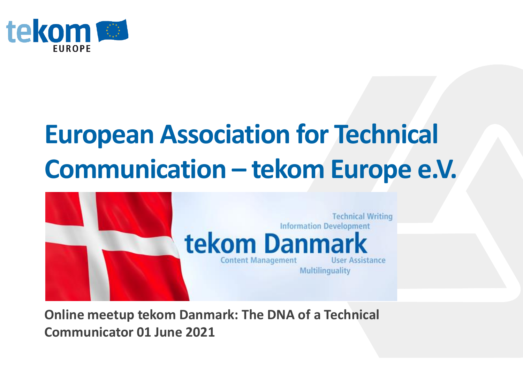

### **European Association for Technical Communication – tekom Europe e.V.**



**Online meetup tekom Danmark: The DNA of a Technical Communicator 01 June 2021**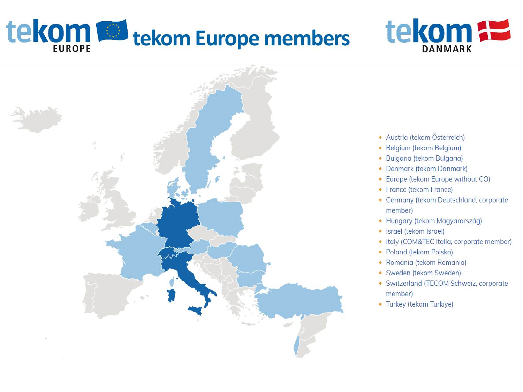# tekom & tekom Europe members





- Austria (tekom Österreich)
- Belgium (tekom Belgium)
- Bulgaria (tekom Bulgaria)
- Denmark (tekom Danmark)
- Europe (tekom Europe without CO)
- France (tekom France)
- Germany (tekom Deutschland, corporate member)
- · Hungary (tekom Magyarország)
- Israel (tekom Israel)
- Italy (COM&TEC Italia, corporate member)
- Poland (tekom Polska)
- Romania (tekom Romania)
- Sweden (tekom Sweden)
- Switzerland (TECOM Schweiz, corporate member)
- Turkey (tekom Türkiye)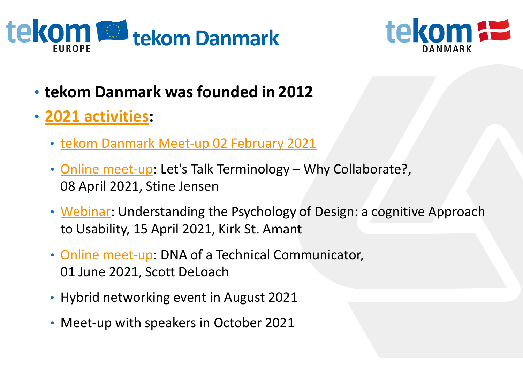



- **tekom Danmark was founded in 2012**
- **[2021 activities](https://www.technical-communication.org/tekom/about-us/country-organizations/denmark/home):**
	- [tekom Danmark Meet-up 02 February 2021](https://www.technical-communication.org/tekom/about-us/country-organizations/denmark/reports/online-networking-with-tekom-danmark-online)
	- [Online meet-up](https://www.technical-communication.org/tekom/about-us/country-organizations/events-1/meet-up-lets-talk-terminology-why-collaborate-stine-jensen-terminologist-and-intercultural-mediator-at-dalexi): Let's Talk Terminology Why Collaborate?, 08 April 2021, Stine Jensen
	- [Webinar:](https://www.technical-communication.org/tekom/about-us/country-organizations/denmark/events/webinar-understanding-the-psychology-of-design-an-cognitive-approach-to-usability-kirk-st-amant) Understanding the Psychology of Design: a cognitive Approach to Usability, 15 April 2021, Kirk St. Amant
	- [Online meet-up](https://www.technical-communication.org/tekom/about-us/country-organizations/denmark/events/online-meet-up-dna-of-a-technical-communicator-scott-deloach-clickstart-inc): DNA of a Technical Communicator, 01 June 2021, Scott DeLoach
	- Hybrid networking event in August 2021
	- Meet-up with speakers in October 2021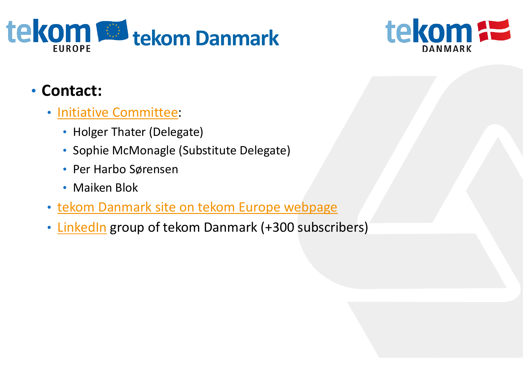



#### • **Contact:**

- [Initiative Committee](https://www.technical-communication.org/tekom/about-us/country-organizations/denmark/contact):
	- Holger Thater (Delegate)
	- Sophie McMonagle (Substitute Delegate)
	- Per Harbo Sørensen
	- Maiken Blok
- [tekom Danmark site on tekom Europe webpage](http://www.technical-communication.org/dk/home-dk.html)
- [LinkedIn](https://www.linkedin.com/groups/4645164) group of tekom Danmark (+300 subscribers)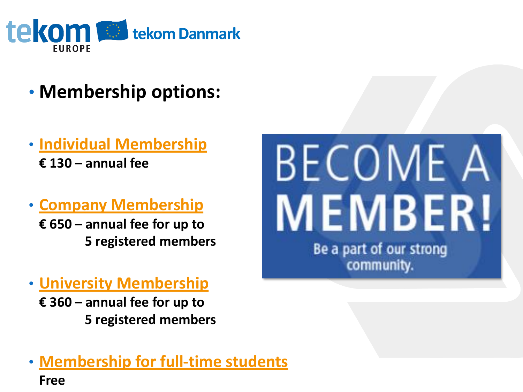

- **Membership options:**
- **[Individual Membership](https://www.technical-communication.org/tekom/become-a-member/professionals) € 130 – annual fee**
- **[Company Membership](https://www.technical-communication.org/tekom/become-a-member/companies)**
	- **€ 650 – annual fee for up to 5 registered members**
- **[University Membership](https://www.technical-communication.org/tekom/become-a-member/academia)**
	- **€ 360 – annual fee for up to 5 registered members**

#### • **[Membership for full-time students](https://www.technical-communication.org/tekom/become-a-member/students) Free**

## **BECOME A MEMBER!** Be a part of our strong community.